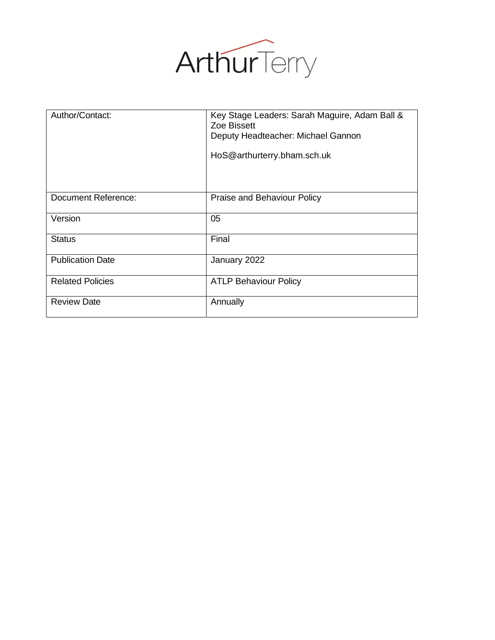

| Author/Contact:         | Key Stage Leaders: Sarah Maguire, Adam Ball &<br>Zoe Bissett<br>Deputy Headteacher: Michael Gannon<br>HoS@arthurterry.bham.sch.uk |
|-------------------------|-----------------------------------------------------------------------------------------------------------------------------------|
| Document Reference:     | Praise and Behaviour Policy                                                                                                       |
| Version                 | 05                                                                                                                                |
| <b>Status</b>           | Final                                                                                                                             |
| <b>Publication Date</b> | January 2022                                                                                                                      |
| <b>Related Policies</b> | <b>ATLP Behaviour Policy</b>                                                                                                      |
| <b>Review Date</b>      | Annually                                                                                                                          |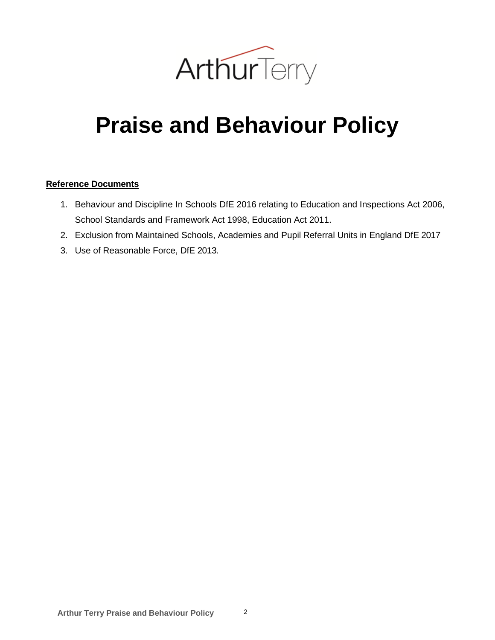

# **Praise and Behaviour Policy**

#### **Reference Documents**

- 1. Behaviour and Discipline In Schools DfE 2016 relating to Education and Inspections Act 2006, School Standards and Framework Act 1998, Education Act 2011.
- 2. Exclusion from Maintained Schools, Academies and Pupil Referral Units in England DfE 2017
- 3. Use of Reasonable Force, DfE 2013.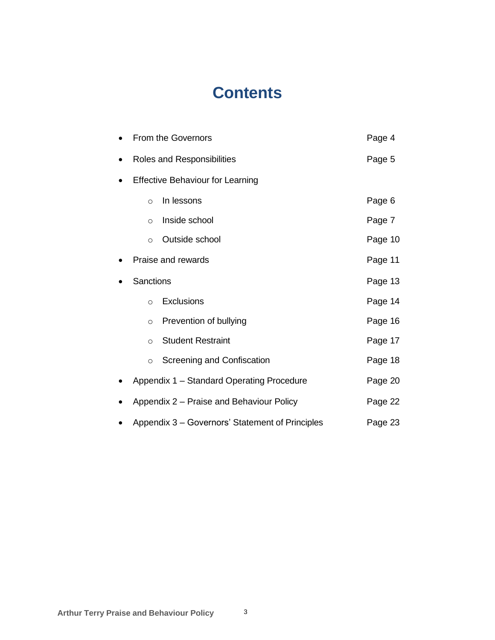# **Contents**

|                                         | <b>From the Governors</b>                       | Page 4  |
|-----------------------------------------|-------------------------------------------------|---------|
|                                         | Roles and Responsibilities                      | Page 5  |
| <b>Effective Behaviour for Learning</b> |                                                 |         |
| $\circ$                                 | In lessons                                      | Page 6  |
| $\circ$                                 | Inside school                                   | Page 7  |
| $\circ$                                 | Outside school                                  | Page 10 |
|                                         | Praise and rewards                              | Page 11 |
| <b>Sanctions</b>                        |                                                 | Page 13 |
| $\circ$                                 | Exclusions                                      | Page 14 |
| $\circ$                                 | Prevention of bullying                          | Page 16 |
| $\circ$                                 | <b>Student Restraint</b>                        | Page 17 |
| $\circ$                                 | Screening and Confiscation                      | Page 18 |
|                                         | Appendix 1 - Standard Operating Procedure       | Page 20 |
|                                         | Appendix 2 - Praise and Behaviour Policy        | Page 22 |
|                                         | Appendix 3 - Governors' Statement of Principles | Page 23 |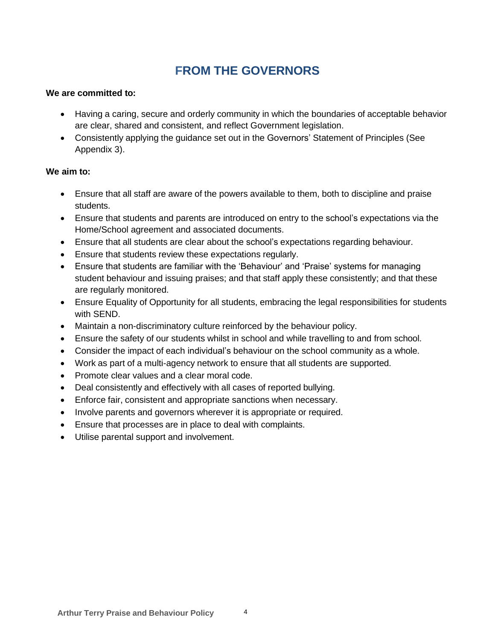# **FROM THE GOVERNORS**

#### **We are committed to:**

- Having a caring, secure and orderly community in which the boundaries of acceptable behavior are clear, shared and consistent, and reflect Government legislation.
- Consistently applying the guidance set out in the Governors' Statement of Principles (See Appendix 3).

#### **We aim to:**

- Ensure that all staff are aware of the powers available to them, both to discipline and praise students.
- Ensure that students and parents are introduced on entry to the school's expectations via the Home/School agreement and associated documents.
- Ensure that all students are clear about the school's expectations regarding behaviour.
- Ensure that students review these expectations regularly.
- Ensure that students are familiar with the 'Behaviour' and 'Praise' systems for managing student behaviour and issuing praises; and that staff apply these consistently; and that these are regularly monitored.
- Ensure Equality of Opportunity for all students, embracing the legal responsibilities for students with SEND.
- Maintain a non-discriminatory culture reinforced by the behaviour policy.
- Ensure the safety of our students whilst in school and while travelling to and from school.
- Consider the impact of each individual's behaviour on the school community as a whole.
- Work as part of a multi-agency network to ensure that all students are supported.
- Promote clear values and a clear moral code.
- Deal consistently and effectively with all cases of reported bullying.
- Enforce fair, consistent and appropriate sanctions when necessary.
- Involve parents and governors wherever it is appropriate or required.
- Ensure that processes are in place to deal with complaints.
- Utilise parental support and involvement.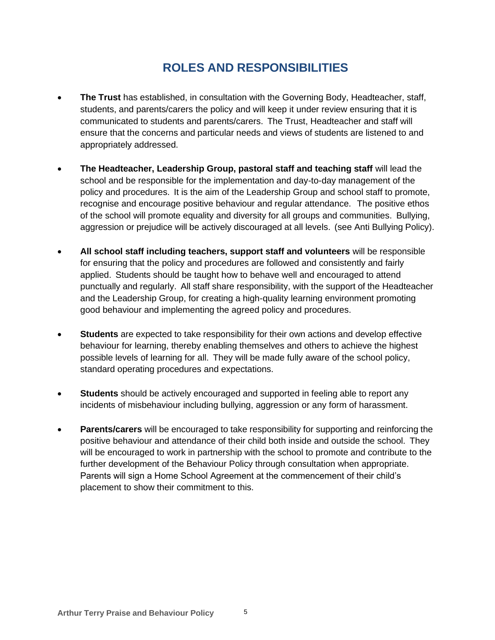# **ROLES AND RESPONSIBILITIES**

- **The Trust** has established, in consultation with the Governing Body, Headteacher, staff, students, and parents/carers the policy and will keep it under review ensuring that it is communicated to students and parents/carers. The Trust, Headteacher and staff will ensure that the concerns and particular needs and views of students are listened to and appropriately addressed.
- **The Headteacher, Leadership Group, pastoral staff and teaching staff** will lead the school and be responsible for the implementation and day-to-day management of the policy and procedures. It is the aim of the Leadership Group and school staff to promote, recognise and encourage positive behaviour and regular attendance. The positive ethos of the school will promote equality and diversity for all groups and communities. Bullying, aggression or prejudice will be actively discouraged at all levels. (see Anti Bullying Policy).
- **All school staff including teachers, support staff and volunteers** will be responsible for ensuring that the policy and procedures are followed and consistently and fairly applied. Students should be taught how to behave well and encouraged to attend punctually and regularly. All staff share responsibility, with the support of the Headteacher and the Leadership Group, for creating a high-quality learning environment promoting good behaviour and implementing the agreed policy and procedures.
- **Students** are expected to take responsibility for their own actions and develop effective behaviour for learning, thereby enabling themselves and others to achieve the highest possible levels of learning for all. They will be made fully aware of the school policy, standard operating procedures and expectations.
- **Students** should be actively encouraged and supported in feeling able to report any incidents of misbehaviour including bullying, aggression or any form of harassment.
- **Parents/carers** will be encouraged to take responsibility for supporting and reinforcing the positive behaviour and attendance of their child both inside and outside the school. They will be encouraged to work in partnership with the school to promote and contribute to the further development of the Behaviour Policy through consultation when appropriate. Parents will sign a Home School Agreement at the commencement of their child's placement to show their commitment to this.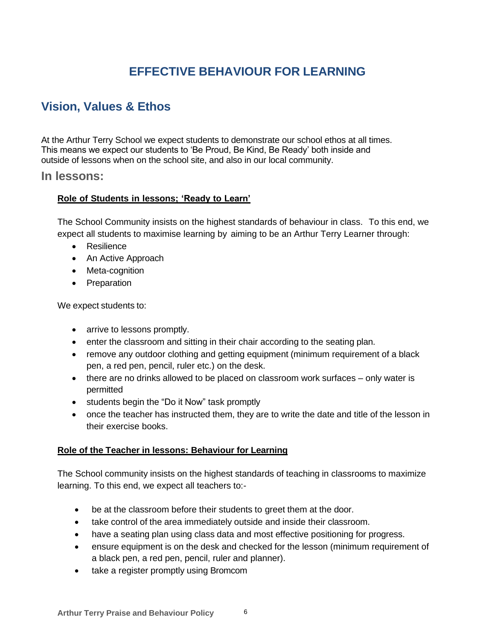# **EFFECTIVE BEHAVIOUR FOR LEARNING**

## **Vision, Values & Ethos**

At the Arthur Terry School we expect students to demonstrate our school ethos at all times. This means we expect our students to 'Be Proud, Be Kind, Be Ready' both inside and outside of lessons when on the school site, and also in our local community.

#### **In lessons:**

#### **Role of Students in lessons; 'Ready to Learn'**

The School Community insists on the highest standards of behaviour in class. To this end, we expect all students to maximise learning by aiming to be an Arthur Terry Learner through:

- Resilience
- An Active Approach
- Meta-cognition
- Preparation

We expect students to:

- arrive to lessons promptly.
- enter the classroom and sitting in their chair according to the seating plan.
- remove any outdoor clothing and getting equipment (minimum requirement of a black pen, a red pen, pencil, ruler etc.) on the desk.
- there are no drinks allowed to be placed on classroom work surfaces only water is permitted
- students begin the "Do it Now" task promptly
- once the teacher has instructed them, they are to write the date and title of the lesson in their exercise books.

#### **Role of the Teacher in lessons: Behaviour for Learning**

The School community insists on the highest standards of teaching in classrooms to maximize learning. To this end, we expect all teachers to:-

- be at the classroom before their students to greet them at the door.
- take control of the area immediately outside and inside their classroom.
- have a seating plan using class data and most effective positioning for progress.
- ensure equipment is on the desk and checked for the lesson (minimum requirement of a black pen, a red pen, pencil, ruler and planner).
- take a register promptly using Bromcom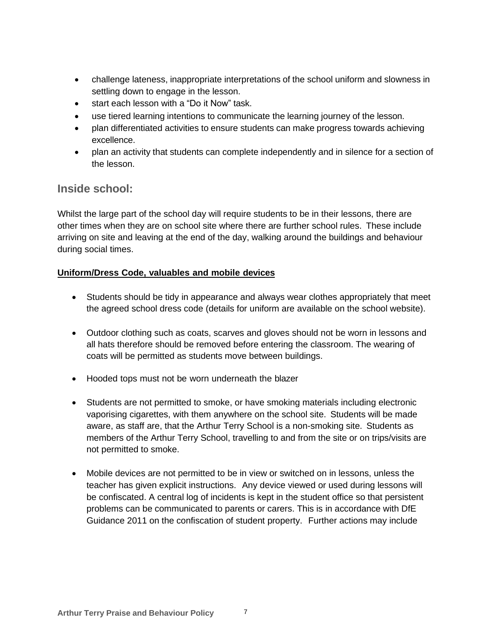- challenge lateness, inappropriate interpretations of the school uniform and slowness in settling down to engage in the lesson.
- start each lesson with a "Do it Now" task.
- use tiered learning intentions to communicate the learning journey of the lesson.
- plan differentiated activities to ensure students can make progress towards achieving excellence.
- plan an activity that students can complete independently and in silence for a section of the lesson.

### **Inside school:**

Whilst the large part of the school day will require students to be in their lessons, there are other times when they are on school site where there are further school rules. These include arriving on site and leaving at the end of the day, walking around the buildings and behaviour during social times.

#### **Uniform/Dress Code, valuables and mobile devices**

- Students should be tidy in appearance and always wear clothes appropriately that meet the agreed school dress code (details for uniform are available on the school website).
- Outdoor clothing such as coats, scarves and gloves should not be worn in lessons and all hats therefore should be removed before entering the classroom. The wearing of coats will be permitted as students move between buildings.
- Hooded tops must not be worn underneath the blazer
- Students are not permitted to smoke, or have smoking materials including electronic vaporising cigarettes, with them anywhere on the school site. Students will be made aware, as staff are, that the Arthur Terry School is a non-smoking site. Students as members of the Arthur Terry School, travelling to and from the site or on trips/visits are not permitted to smoke.
- Mobile devices are not permitted to be in view or switched on in lessons, unless the teacher has given explicit instructions. Any device viewed or used during lessons will be confiscated. A central log of incidents is kept in the student office so that persistent problems can be communicated to parents or carers. This is in accordance with DfE Guidance 2011 on the confiscation of student property. Further actions may include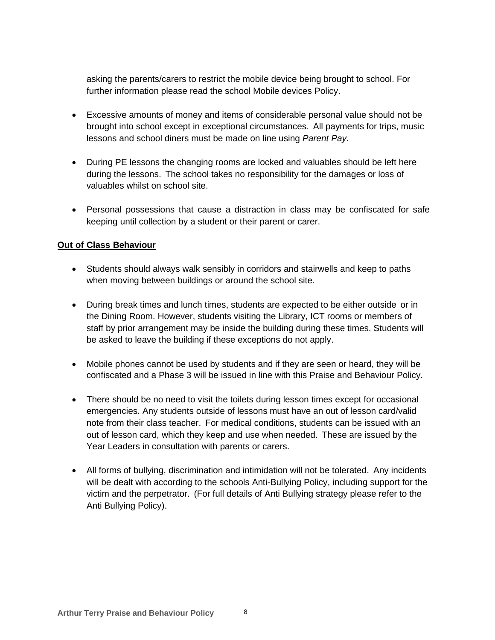asking the parents/carers to restrict the mobile device being brought to school. For further information please read the school Mobile devices Policy.

- Excessive amounts of money and items of considerable personal value should not be brought into school except in exceptional circumstances. All payments for trips, music lessons and school diners must be made on line using *Parent Pay.*
- During PE lessons the changing rooms are locked and valuables should be left here during the lessons. The school takes no responsibility for the damages or loss of valuables whilst on school site.
- Personal possessions that cause a distraction in class may be confiscated for safe keeping until collection by a student or their parent or carer.

#### **Out of Class Behaviour**

- Students should always walk sensibly in corridors and stairwells and keep to paths when moving between buildings or around the school site.
- During break times and lunch times, students are expected to be either outside or in the Dining Room. However, students visiting the Library, ICT rooms or members of staff by prior arrangement may be inside the building during these times. Students will be asked to leave the building if these exceptions do not apply.
- Mobile phones cannot be used by students and if they are seen or heard, they will be confiscated and a Phase 3 will be issued in line with this Praise and Behaviour Policy.
- There should be no need to visit the toilets during lesson times except for occasional emergencies. Any students outside of lessons must have an out of lesson card/valid note from their class teacher. For medical conditions, students can be issued with an out of lesson card, which they keep and use when needed. These are issued by the Year Leaders in consultation with parents or carers.
- All forms of bullying, discrimination and intimidation will not be tolerated. Any incidents will be dealt with according to the schools Anti-Bullying Policy, including support for the victim and the perpetrator. (For full details of Anti Bullying strategy please refer to the Anti Bullying Policy).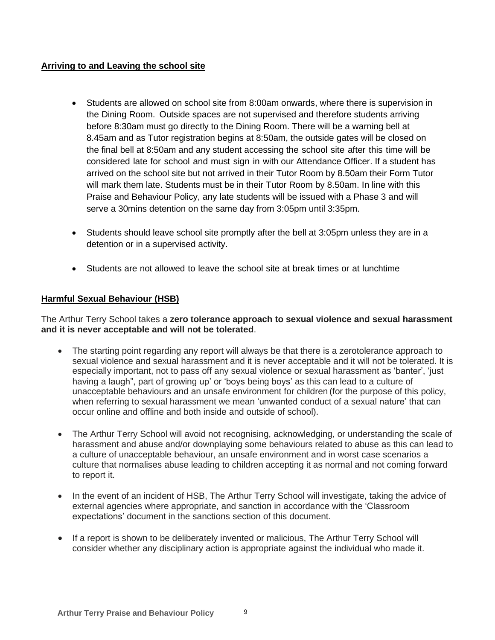#### **Arriving to and Leaving the school site**

- Students are allowed on school site from 8:00am onwards, where there is supervision in the Dining Room. Outside spaces are not supervised and therefore students arriving before 8:30am must go directly to the Dining Room. There will be a warning bell at 8.45am and as Tutor registration begins at 8:50am, the outside gates will be closed on the final bell at 8:50am and any student accessing the school site after this time will be considered late for school and must sign in with our Attendance Officer. If a student has arrived on the school site but not arrived in their Tutor Room by 8.50am their Form Tutor will mark them late. Students must be in their Tutor Room by 8.50am. In line with this Praise and Behaviour Policy, any late students will be issued with a Phase 3 and will serve a 30mins detention on the same day from 3:05pm until 3:35pm.
- Students should leave school site promptly after the bell at 3:05pm unless they are in a detention or in a supervised activity.
- Students are not allowed to leave the school site at break times or at lunchtime

#### **Harmful Sexual Behaviour (HSB)**

The Arthur Terry School takes a **zero tolerance approach to sexual violence and sexual harassment and it is never acceptable and will not be tolerated**.

- The starting point regarding any report will always be that there is a zerotolerance approach to sexual violence and sexual harassment and it is never acceptable and it will not be tolerated. It is especially important, not to pass off any sexual violence or sexual harassment as 'banter', 'just having a laugh", part of growing up' or 'boys being boys' as this can lead to a culture of unacceptable behaviours and an unsafe environment for children (for the purpose of this policy, when referring to sexual harassment we mean 'unwanted conduct of a sexual nature' that can occur online and offline and both inside and outside of school).
- The Arthur Terry School will avoid not recognising, acknowledging, or understanding the scale of harassment and abuse and/or downplaying some behaviours related to abuse as this can lead to a culture of unacceptable behaviour, an unsafe environment and in worst case scenarios a culture that normalises abuse leading to children accepting it as normal and not coming forward to report it.
- In the event of an incident of HSB, The Arthur Terry School will investigate, taking the advice of external agencies where appropriate, and sanction in accordance with the 'Classroom expectations' document in the sanctions section of this document.
- If a report is shown to be deliberately invented or malicious, The Arthur Terry School will consider whether any disciplinary action is appropriate against the individual who made it.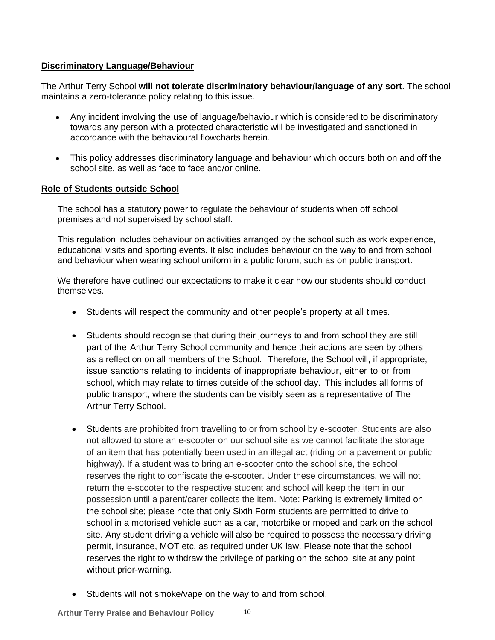#### **Discriminatory Language/Behaviour**

The Arthur Terry School **will not tolerate discriminatory behaviour/language of any sort**. The school maintains a zero-tolerance policy relating to this issue.

- Any incident involving the use of language/behaviour which is considered to be discriminatory towards any person with a protected characteristic will be investigated and sanctioned in accordance with the behavioural flowcharts herein.
- This policy addresses discriminatory language and behaviour which occurs both on and off the school site, as well as face to face and/or online.

#### **Role of Students outside School**

The school has a statutory power to regulate the behaviour of students when off school premises and not supervised by school staff.

This regulation includes behaviour on activities arranged by the school such as work experience, educational visits and sporting events. It also includes behaviour on the way to and from school and behaviour when wearing school uniform in a public forum, such as on public transport.

We therefore have outlined our expectations to make it clear how our students should conduct themselves.

- Students will respect the community and other people's property at all times.
- Students should recognise that during their journeys to and from school they are still part of the Arthur Terry School community and hence their actions are seen by others as a reflection on all members of the School. Therefore, the School will, if appropriate, issue sanctions relating to incidents of inappropriate behaviour, either to or from school, which may relate to times outside of the school day. This includes all forms of public transport, where the students can be visibly seen as a representative of The Arthur Terry School.
- Students are prohibited from travelling to or from school by e-scooter. Students are also not allowed to store an e-scooter on our school site as we cannot facilitate the storage of an item that has potentially been used in an illegal act (riding on a pavement or public highway). If a student was to bring an e-scooter onto the school site, the school reserves the right to confiscate the e-scooter. Under these circumstances, we will not return the e-scooter to the respective student and school will keep the item in our possession until a parent/carer collects the item. Note: Parking is extremely limited on the school site; please note that only Sixth Form students are permitted to drive to school in a motorised vehicle such as a car, motorbike or moped and park on the school site. Any student driving a vehicle will also be required to possess the necessary driving permit, insurance, MOT etc. as required under UK law. Please note that the school reserves the right to withdraw the privilege of parking on the school site at any point without prior-warning.
- Students will not smoke/vape on the way to and from school.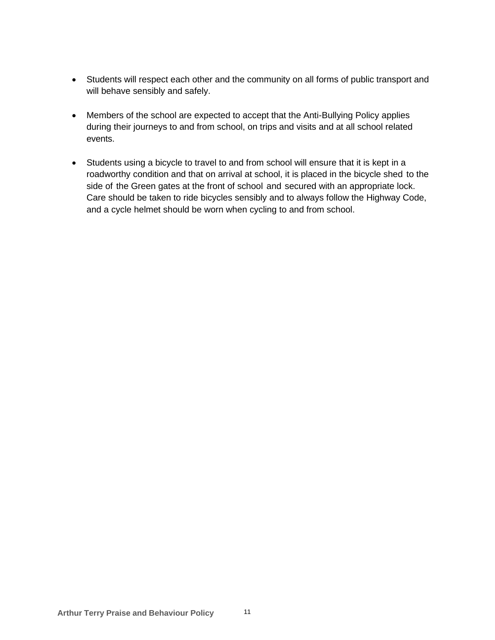- Students will respect each other and the community on all forms of public transport and will behave sensibly and safely.
- Members of the school are expected to accept that the Anti-Bullying Policy applies during their journeys to and from school, on trips and visits and at all school related events.
- Students using a bicycle to travel to and from school will ensure that it is kept in a roadworthy condition and that on arrival at school, it is placed in the bicycle shed to the side of the Green gates at the front of school and secured with an appropriate lock. Care should be taken to ride bicycles sensibly and to always follow the Highway Code, and a cycle helmet should be worn when cycling to and from school.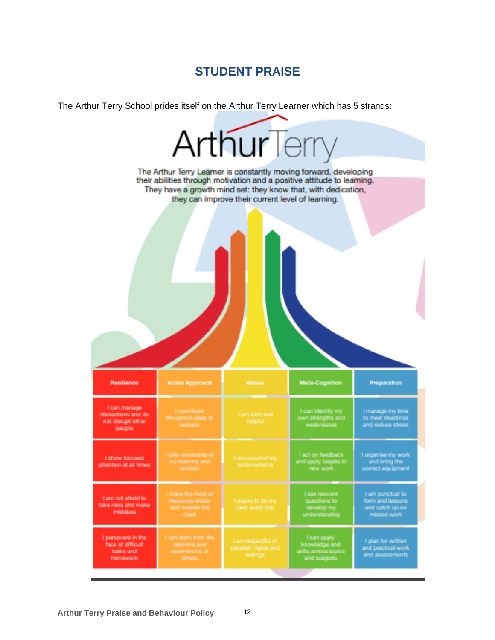### **STUDENT PRAISE**

The Arthur Terry School prides itself on the Arthur Terry Learner which has 5 strands:

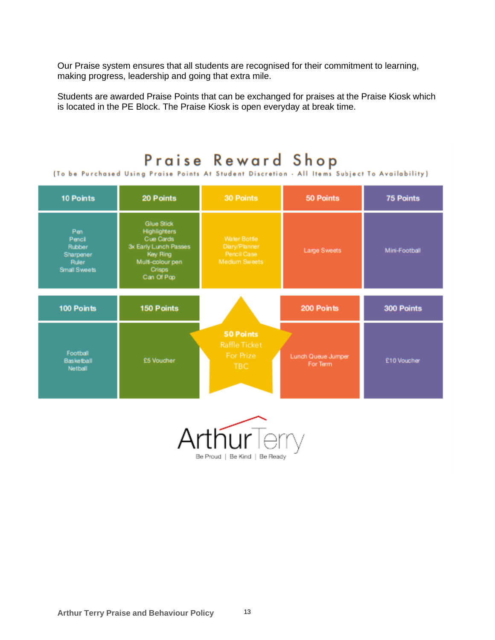Our Praise system ensures that all students are recognised for their commitment to learning, making progress, leadership and going that extra mile.

Students are awarded Praise Points that can be exchanged for praises at the Praise Kiosk which is located in the PE Block. The Praise Kiosk is open everyday at break time.

#### Praise Reward Shop [To be Purchased Using Praise Points At Student Discretion - All Items Subject To Availability 30 Points 50 Points 10 Points 20 Points 75 Points Glue Stick Highlighters<br>Cue Cards<br>3x Early Lunch Passes<br>Key Ring Pen Pencil<br>Rubber Water Bottle Large Sweets Mini-Football Sharpener Multi-colour pen<br>Crisps<br>Can Of Pop Ruler Small Sweets 100 Points 150 Points 200 Points 300 Points 50 Points Football Lunch Queue Jumper Basketball £5 Voucher £10 Voucher For Term Netball

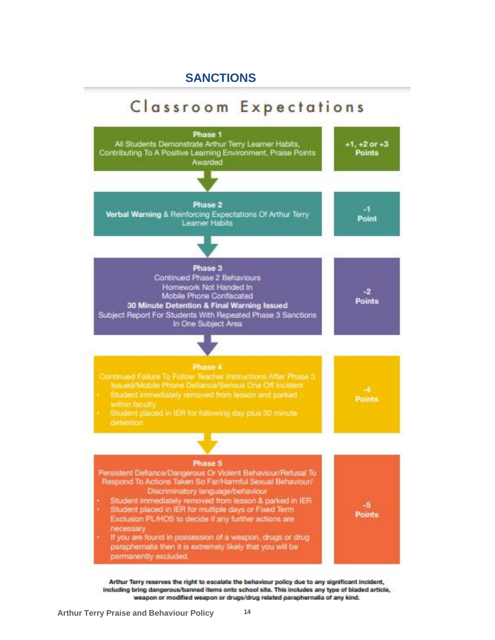### **SANCTIONS**

# Classroom Expectations



Arthur Terry reserves the right to escalate the behaviour policy due to any significant incident, including bring dangerous/banned items onto school site. This includes any type of bladed article, weapon or modified weapon or drugs/drug related paraphernalia of any kind.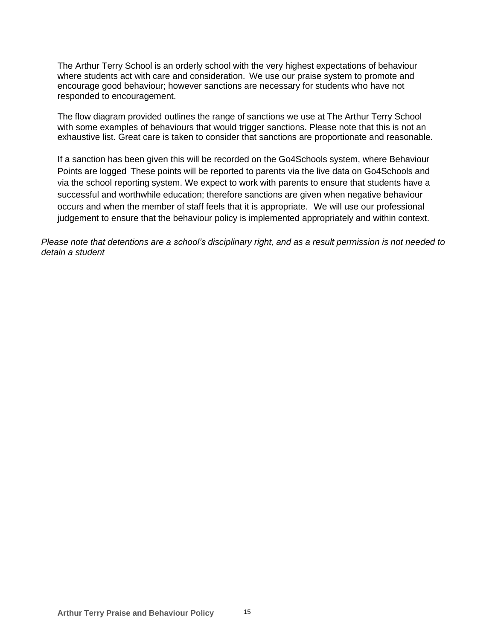The Arthur Terry School is an orderly school with the very highest expectations of behaviour where students act with care and consideration. We use our praise system to promote and encourage good behaviour; however sanctions are necessary for students who have not responded to encouragement.

The flow diagram provided outlines the range of sanctions we use at The Arthur Terry School with some examples of behaviours that would trigger sanctions. Please note that this is not an exhaustive list. Great care is taken to consider that sanctions are proportionate and reasonable.

If a sanction has been given this will be recorded on the Go4Schools system, where Behaviour Points are logged These points will be reported to parents via the live data on Go4Schools and via the school reporting system. We expect to work with parents to ensure that students have a successful and worthwhile education; therefore sanctions are given when negative behaviour occurs and when the member of staff feels that it is appropriate. We will use our professional judgement to ensure that the behaviour policy is implemented appropriately and within context.

*Please note that detentions are a school's disciplinary right, and as a result permission is not needed to detain a student*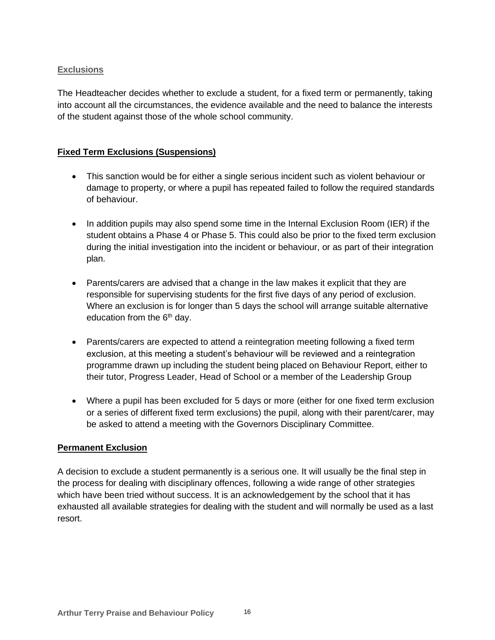#### **Exclusions**

The Headteacher decides whether to exclude a student, for a fixed term or permanently, taking into account all the circumstances, the evidence available and the need to balance the interests of the student against those of the whole school community.

#### **Fixed Term Exclusions (Suspensions)**

- This sanction would be for either a single serious incident such as violent behaviour or damage to property, or where a pupil has repeated failed to follow the required standards of behaviour.
- In addition pupils may also spend some time in the Internal Exclusion Room (IER) if the student obtains a Phase 4 or Phase 5. This could also be prior to the fixed term exclusion during the initial investigation into the incident or behaviour, or as part of their integration plan.
- Parents/carers are advised that a change in the law makes it explicit that they are responsible for supervising students for the first five days of any period of exclusion. Where an exclusion is for longer than 5 days the school will arrange suitable alternative education from the  $6<sup>th</sup>$  day.
- Parents/carers are expected to attend a reintegration meeting following a fixed term exclusion, at this meeting a student's behaviour will be reviewed and a reintegration programme drawn up including the student being placed on Behaviour Report, either to their tutor, Progress Leader, Head of School or a member of the Leadership Group
- Where a pupil has been excluded for 5 days or more (either for one fixed term exclusion or a series of different fixed term exclusions) the pupil, along with their parent/carer, may be asked to attend a meeting with the Governors Disciplinary Committee.

#### **Permanent Exclusion**

A decision to exclude a student permanently is a serious one. It will usually be the final step in the process for dealing with disciplinary offences, following a wide range of other strategies which have been tried without success. It is an acknowledgement by the school that it has exhausted all available strategies for dealing with the student and will normally be used as a last resort.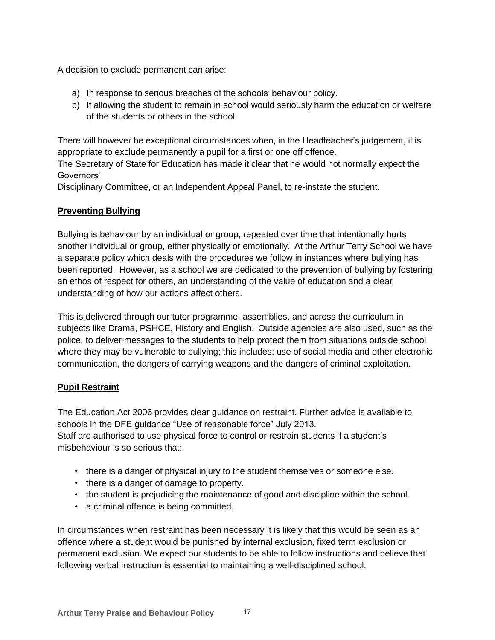A decision to exclude permanent can arise:

- a) In response to serious breaches of the schools' behaviour policy.
- b) If allowing the student to remain in school would seriously harm the education or welfare of the students or others in the school.

There will however be exceptional circumstances when, in the Headteacher's judgement, it is appropriate to exclude permanently a pupil for a first or one off offence.

The Secretary of State for Education has made it clear that he would not normally expect the Governors'

Disciplinary Committee, or an Independent Appeal Panel, to re-instate the student.

#### **Preventing Bullying**

Bullying is behaviour by an individual or group, repeated over time that intentionally hurts another individual or group, either physically or emotionally. At the Arthur Terry School we have a separate policy which deals with the procedures we follow in instances where bullying has been reported. However, as a school we are dedicated to the prevention of bullying by fostering an ethos of respect for others, an understanding of the value of education and a clear understanding of how our actions affect others.

This is delivered through our tutor programme, assemblies, and across the curriculum in subjects like Drama, PSHCE, History and English. Outside agencies are also used, such as the police, to deliver messages to the students to help protect them from situations outside school where they may be vulnerable to bullying; this includes; use of social media and other electronic communication, the dangers of carrying weapons and the dangers of criminal exploitation.

#### **Pupil Restraint**

The Education Act 2006 provides clear guidance on restraint. Further advice is available to schools in the DFE guidance "Use of reasonable force" July 2013. Staff are authorised to use physical force to control or restrain students if a student's misbehaviour is so serious that:

- there is a danger of physical injury to the student themselves or someone else.
- there is a danger of damage to property.
- the student is prejudicing the maintenance of good and discipline within the school.
- a criminal offence is being committed.

In circumstances when restraint has been necessary it is likely that this would be seen as an offence where a student would be punished by internal exclusion, fixed term exclusion or permanent exclusion. We expect our students to be able to follow instructions and believe that following verbal instruction is essential to maintaining a well-disciplined school.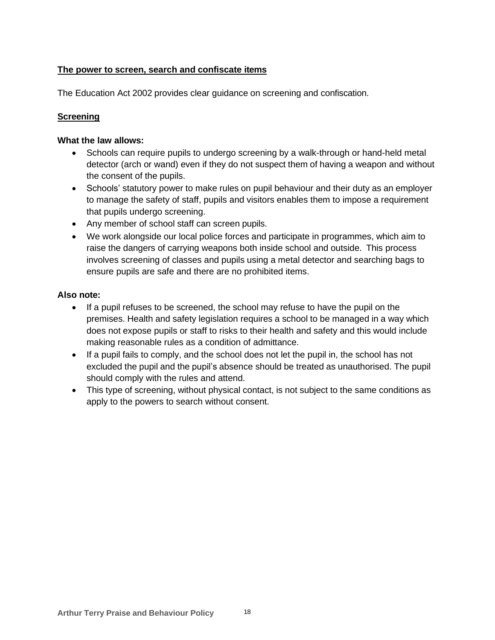#### **The power to screen, search and confiscate items**

The Education Act 2002 provides clear guidance on screening and confiscation.

#### **Screening**

#### **What the law allows:**

- Schools can require pupils to undergo screening by a walk-through or hand-held metal detector (arch or wand) even if they do not suspect them of having a weapon and without the consent of the pupils.
- Schools' statutory power to make rules on pupil behaviour and their duty as an employer to manage the safety of staff, pupils and visitors enables them to impose a requirement that pupils undergo screening.
- Any member of school staff can screen pupils.
- We work alongside our local police forces and participate in programmes, which aim to raise the dangers of carrying weapons both inside school and outside. This process involves screening of classes and pupils using a metal detector and searching bags to ensure pupils are safe and there are no prohibited items.

#### **Also note:**

- If a pupil refuses to be screened, the school may refuse to have the pupil on the premises. Health and safety legislation requires a school to be managed in a way which does not expose pupils or staff to risks to their health and safety and this would include making reasonable rules as a condition of admittance.
- If a pupil fails to comply, and the school does not let the pupil in, the school has not excluded the pupil and the pupil's absence should be treated as unauthorised. The pupil should comply with the rules and attend.
- This type of screening, without physical contact, is not subject to the same conditions as apply to the powers to search without consent.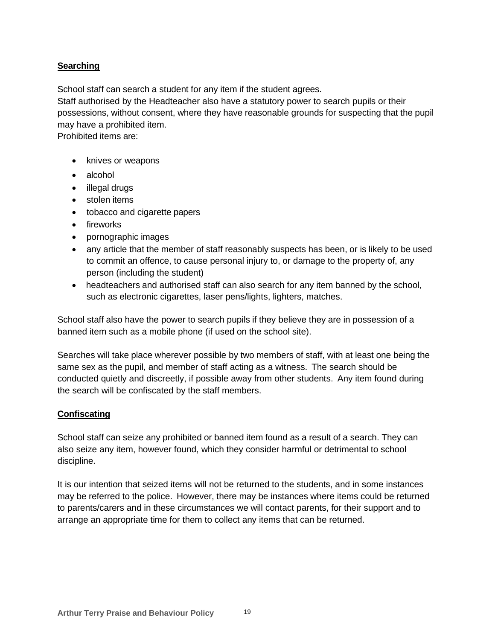#### **Searching**

School staff can search a student for any item if the student agrees.

Staff authorised by the Headteacher also have a statutory power to search pupils or their possessions, without consent, where they have reasonable grounds for suspecting that the pupil may have a prohibited item.

Prohibited items are:

- knives or weapons
- alcohol
- illegal drugs
- stolen items
- tobacco and cigarette papers
- fireworks
- pornographic images
- any article that the member of staff reasonably suspects has been, or is likely to be used to commit an offence, to cause personal injury to, or damage to the property of, any person (including the student)
- headteachers and authorised staff can also search for any item banned by the school, such as electronic cigarettes, laser pens/lights, lighters, matches.

School staff also have the power to search pupils if they believe they are in possession of a banned item such as a mobile phone (if used on the school site).

Searches will take place wherever possible by two members of staff, with at least one being the same sex as the pupil, and member of staff acting as a witness. The search should be conducted quietly and discreetly, if possible away from other students. Any item found during the search will be confiscated by the staff members.

#### **Confiscating**

School staff can seize any prohibited or banned item found as a result of a search. They can also seize any item, however found, which they consider harmful or detrimental to school discipline.

It is our intention that seized items will not be returned to the students, and in some instances may be referred to the police. However, there may be instances where items could be returned to parents/carers and in these circumstances we will contact parents, for their support and to arrange an appropriate time for them to collect any items that can be returned.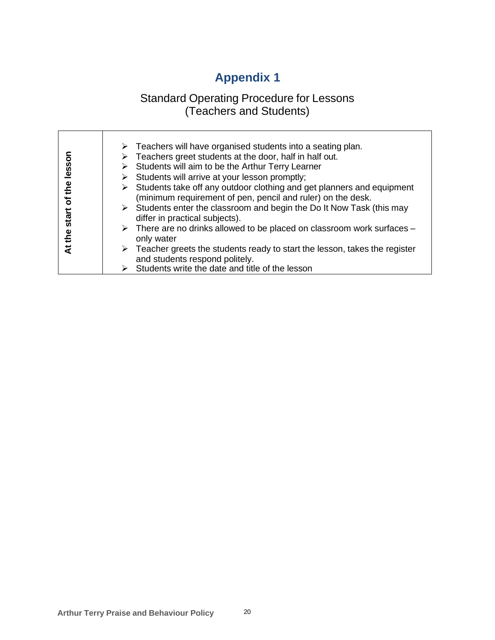# **Appendix 1**

### Standard Operating Procedure for Lessons (Teachers and Students)

| lessor<br>the<br>৳<br>start | $\triangleright$ Teachers will have organised students into a seating plan.<br>$\triangleright$ Teachers greet students at the door, half in half out.<br>$\triangleright$ Students will aim to be the Arthur Terry Learner<br>$\triangleright$ Students will arrive at your lesson promptly;<br>$\triangleright$ Students take off any outdoor clothing and get planners and equipment<br>(minimum requirement of pen, pencil and ruler) on the desk.<br>$\triangleright$ Students enter the classroom and begin the Do It Now Task (this may<br>differ in practical subjects).<br>$\triangleright$ There are no drinks allowed to be placed on classroom work surfaces – |
|-----------------------------|----------------------------------------------------------------------------------------------------------------------------------------------------------------------------------------------------------------------------------------------------------------------------------------------------------------------------------------------------------------------------------------------------------------------------------------------------------------------------------------------------------------------------------------------------------------------------------------------------------------------------------------------------------------------------|
| At the                      | only water                                                                                                                                                                                                                                                                                                                                                                                                                                                                                                                                                                                                                                                                 |
|                             | $\triangleright$ Teacher greets the students ready to start the lesson, takes the register<br>and students respond politely.                                                                                                                                                                                                                                                                                                                                                                                                                                                                                                                                               |
|                             | $\triangleright$ Students write the date and title of the lesson                                                                                                                                                                                                                                                                                                                                                                                                                                                                                                                                                                                                           |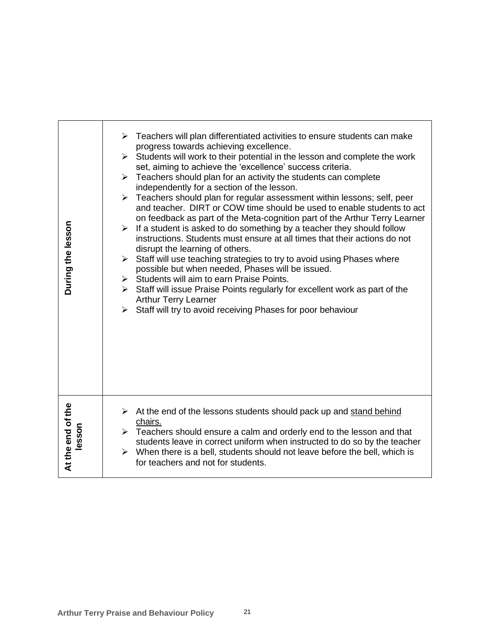| During the lesson           | $\triangleright$ Teachers will plan differentiated activities to ensure students can make<br>progress towards achieving excellence.<br>$\triangleright$ Students will work to their potential in the lesson and complete the work<br>set, aiming to achieve the 'excellence' success criteria.<br>$\triangleright$ Teachers should plan for an activity the students can complete<br>independently for a section of the lesson.<br>Teachers should plan for regular assessment within lessons; self, peer<br>➤<br>and teacher. DIRT or COW time should be used to enable students to act<br>on feedback as part of the Meta-cognition part of the Arthur Terry Learner<br>$\triangleright$ If a student is asked to do something by a teacher they should follow<br>instructions. Students must ensure at all times that their actions do not<br>disrupt the learning of others.<br>$\triangleright$ Staff will use teaching strategies to try to avoid using Phases where<br>possible but when needed, Phases will be issued.<br>$\triangleright$ Students will aim to earn Praise Points.<br>$\triangleright$ Staff will issue Praise Points regularly for excellent work as part of the<br><b>Arthur Terry Learner</b><br>> Staff will try to avoid receiving Phases for poor behaviour |
|-----------------------------|--------------------------------------------------------------------------------------------------------------------------------------------------------------------------------------------------------------------------------------------------------------------------------------------------------------------------------------------------------------------------------------------------------------------------------------------------------------------------------------------------------------------------------------------------------------------------------------------------------------------------------------------------------------------------------------------------------------------------------------------------------------------------------------------------------------------------------------------------------------------------------------------------------------------------------------------------------------------------------------------------------------------------------------------------------------------------------------------------------------------------------------------------------------------------------------------------------------------------------------------------------------------------------------------|
| At the end of the<br>lesson | At the end of the lessons students should pack up and stand behind<br>➤<br>chairs.<br>$\triangleright$ Teachers should ensure a calm and orderly end to the lesson and that<br>students leave in correct uniform when instructed to do so by the teacher<br>$\triangleright$ When there is a bell, students should not leave before the bell, which is<br>for teachers and not for students.                                                                                                                                                                                                                                                                                                                                                                                                                                                                                                                                                                                                                                                                                                                                                                                                                                                                                               |
|                             | <b>Arthur Terry Praise and Behaviour Policy</b><br>21                                                                                                                                                                                                                                                                                                                                                                                                                                                                                                                                                                                                                                                                                                                                                                                                                                                                                                                                                                                                                                                                                                                                                                                                                                      |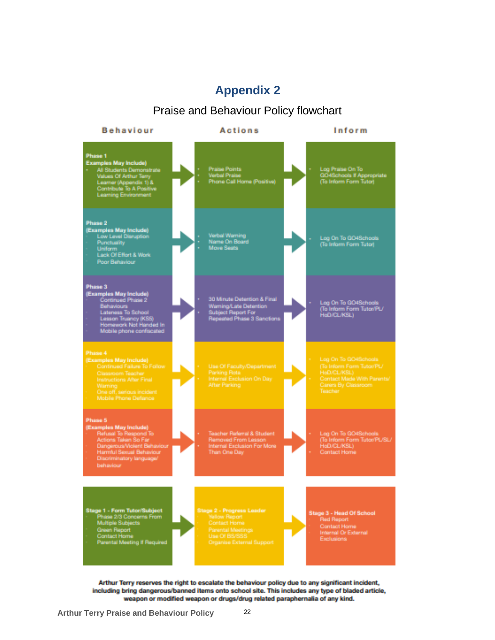### **Appendix 2**

### Praise and Behaviour Policy flowchart



Arthur Terry reserves the right to escalate the behaviour policy due to any significant incident, including bring dangerous/banned items onto school site. This includes any type of bladed article, weapon or modified weapon or drugs/drug related paraphernalia of any kind.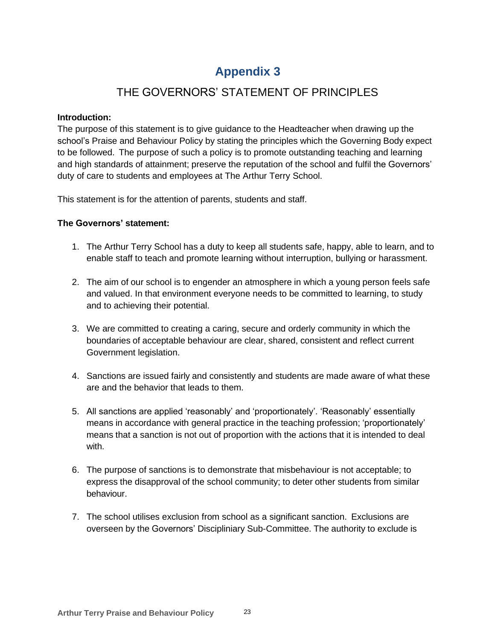# **Appendix 3**

### THE GOVERNORS' STATEMENT OF PRINCIPLES

#### **Introduction:**

The purpose of this statement is to give guidance to the Headteacher when drawing up the school's Praise and Behaviour Policy by stating the principles which the Governing Body expect to be followed. The purpose of such a policy is to promote outstanding teaching and learning and high standards of attainment; preserve the reputation of the school and fulfil the Governors' duty of care to students and employees at The Arthur Terry School.

This statement is for the attention of parents, students and staff.

#### **The Governors' statement:**

- 1. The Arthur Terry School has a duty to keep all students safe, happy, able to learn, and to enable staff to teach and promote learning without interruption, bullying or harassment.
- 2. The aim of our school is to engender an atmosphere in which a young person feels safe and valued. In that environment everyone needs to be committed to learning, to study and to achieving their potential.
- 3. We are committed to creating a caring, secure and orderly community in which the boundaries of acceptable behaviour are clear, shared, consistent and reflect current Government legislation.
- 4. Sanctions are issued fairly and consistently and students are made aware of what these are and the behavior that leads to them.
- 5. All sanctions are applied 'reasonably' and 'proportionately'. 'Reasonably' essentially means in accordance with general practice in the teaching profession; 'proportionately' means that a sanction is not out of proportion with the actions that it is intended to deal with.
- 6. The purpose of sanctions is to demonstrate that misbehaviour is not acceptable; to express the disapproval of the school community; to deter other students from similar behaviour.
- 7. The school utilises exclusion from school as a significant sanction. Exclusions are overseen by the Governors' Discipliniary Sub-Committee. The authority to exclude is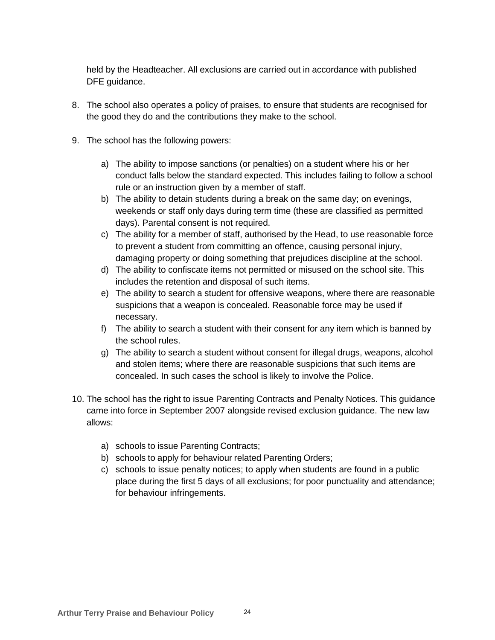held by the Headteacher. All exclusions are carried out in accordance with published DFE guidance.

- 8. The school also operates a policy of praises, to ensure that students are recognised for the good they do and the contributions they make to the school.
- 9. The school has the following powers:
	- a) The ability to impose sanctions (or penalties) on a student where his or her conduct falls below the standard expected. This includes failing to follow a school rule or an instruction given by a member of staff.
	- b) The ability to detain students during a break on the same day; on evenings, weekends or staff only days during term time (these are classified as permitted days). Parental consent is not required.
	- c) The ability for a member of staff, authorised by the Head, to use reasonable force to prevent a student from committing an offence, causing personal injury, damaging property or doing something that prejudices discipline at the school.
	- d) The ability to confiscate items not permitted or misused on the school site. This includes the retention and disposal of such items.
	- e) The ability to search a student for offensive weapons, where there are reasonable suspicions that a weapon is concealed. Reasonable force may be used if necessary.
	- f) The ability to search a student with their consent for any item which is banned by the school rules.
	- g) The ability to search a student without consent for illegal drugs, weapons, alcohol and stolen items; where there are reasonable suspicions that such items are concealed. In such cases the school is likely to involve the Police.
- 10. The school has the right to issue Parenting Contracts and Penalty Notices. This guidance came into force in September 2007 alongside revised exclusion guidance. The new law allows:
	- a) schools to issue Parenting Contracts;
	- b) schools to apply for behaviour related Parenting Orders;
	- c) schools to issue penalty notices; to apply when students are found in a public place during the first 5 days of all exclusions; for poor punctuality and attendance; for behaviour infringements.